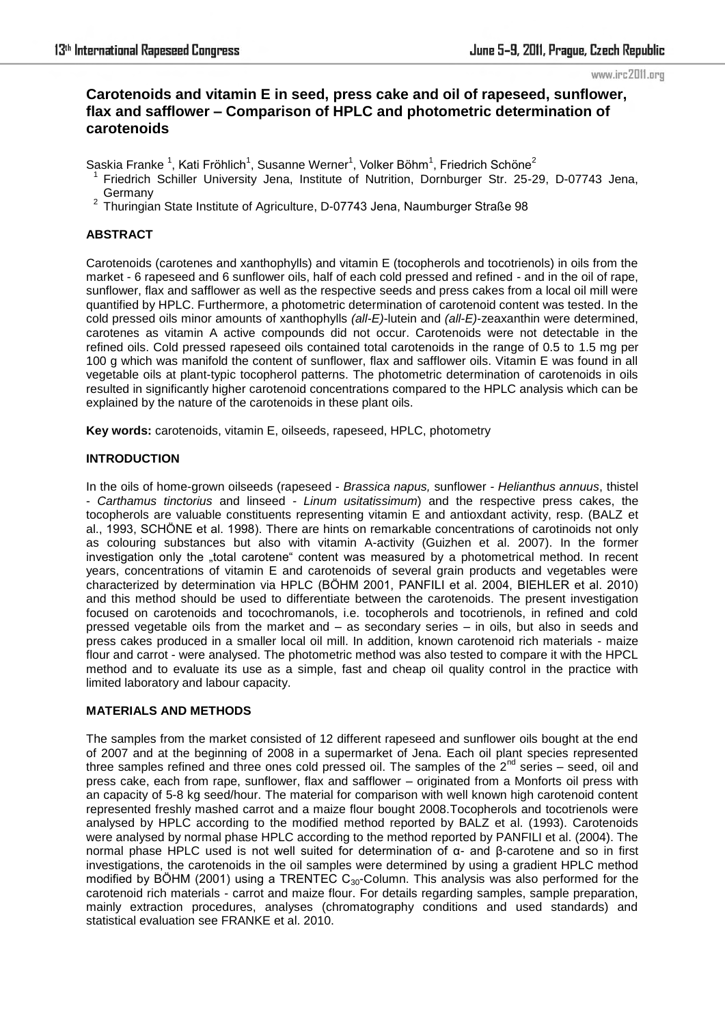# **Carotenoids and vitamin E in seed, press cake and oil of rapeseed, sunflower, flax and safflower – Comparison of HPLC and photometric determination of carotenoids**

Saskia Franke<sup>1</sup>, Kati Fröhlich<sup>1</sup>, Susanne Werner<sup>1</sup>, Volker Böhm<sup>1</sup>, Friedrich Schöne<sup>2</sup>

- <sup>1</sup>Friedrich Schiller University Jena, Institute of Nutrition, Dornburger Str. 25-29, D-07743 Jena, **Germany**
- <sup>2</sup> Thuringian State Institute of Agriculture, D-07743 Jena, Naumburger Straße 98

## **ABSTRACT**

Carotenoids (carotenes and xanthophylls) and vitamin E (tocopherols and tocotrienols) in oils from the market - 6 rapeseed and 6 sunflower oils, half of each cold pressed and refined - and in the oil of rape, sunflower, flax and safflower as well as the respective seeds and press cakes from a local oil mill were quantified by HPLC. Furthermore, a photometric determination of carotenoid content was tested. In the cold pressed oils minor amounts of xanthophylls *(all-E)*-lutein and *(all-E)*-zeaxanthin were determined, carotenes as vitamin A active compounds did not occur. Carotenoids were not detectable in the refined oils. Cold pressed rapeseed oils contained total carotenoids in the range of 0.5 to 1.5 mg per 100 g which was manifold the content of sunflower, flax and safflower oils. Vitamin E was found in all vegetable oils at plant-typic tocopherol patterns. The photometric determination of carotenoids in oils resulted in significantly higher carotenoid concentrations compared to the HPLC analysis which can be explained by the nature of the carotenoids in these plant oils.

**Key words:** carotenoids, vitamin E, oilseeds, rapeseed, HPLC, photometry

# **INTRODUCTION**

In the oils of home-grown oilseeds (rapeseed - *Brassica napus,* sunflower *- Helianthus annuus*, thistel - *Carthamus tinctorius* and linseed *- Linum usitatissimum*) and the respective press cakes, the tocopherols are valuable constituents representing vitamin E and antioxdant activity, resp. (BALZ et al., 1993, SCHÖNE et al. 1998). There are hints on remarkable concentrations of carotinoids not only as colouring substances but also with vitamin A-activity (Guizhen et al. 2007). In the former investigation only the "total carotene" content was measured by a photometrical method. In recent years, concentrations of vitamin E and carotenoids of several grain products and vegetables were characterized by determination via HPLC (BÖHM 2001, PANFILI et al. 2004, BIEHLER et al. 2010) and this method should be used to differentiate between the carotenoids. The present investigation focused on carotenoids and tocochromanols, i.e. tocopherols and tocotrienols, in refined and cold pressed vegetable oils from the market and – as secondary series – in oils, but also in seeds and press cakes produced in a smaller local oil mill. In addition, known carotenoid rich materials - maize flour and carrot - were analysed. The photometric method was also tested to compare it with the HPCL method and to evaluate its use as a simple, fast and cheap oil quality control in the practice with limited laboratory and labour capacity.

### **MATERIALS AND METHODS**

The samples from the market consisted of 12 different rapeseed and sunflower oils bought at the end of 2007 and at the beginning of 2008 in a supermarket of Jena. Each oil plant species represented three samples refined and three ones cold pressed oil. The samples of the  $2^{nd}$  series – seed, oil and press cake, each from rape, sunflower, flax and safflower – originated from a Monforts oil press with an capacity of 5-8 kg seed/hour. The material for comparison with well known high carotenoid content represented freshly mashed carrot and a maize flour bought 2008.Tocopherols and tocotrienols were analysed by HPLC according to the modified method reported by BALZ et al. (1993). Carotenoids were analysed by normal phase HPLC according to the method reported by PANFILI et al. (2004). The normal phase HPLC used is not well suited for determination of α- and β-carotene and so in first investigations, the carotenoids in the oil samples were determined by using a gradient HPLC method modified by BÖHM (2001) using a TRENTEC  $C_{30}$ -Column. This analysis was also performed for the carotenoid rich materials - carrot and maize flour. For details regarding samples, sample preparation, mainly extraction procedures, analyses (chromatography conditions and used standards) and statistical evaluation see FRANKE et al. 2010.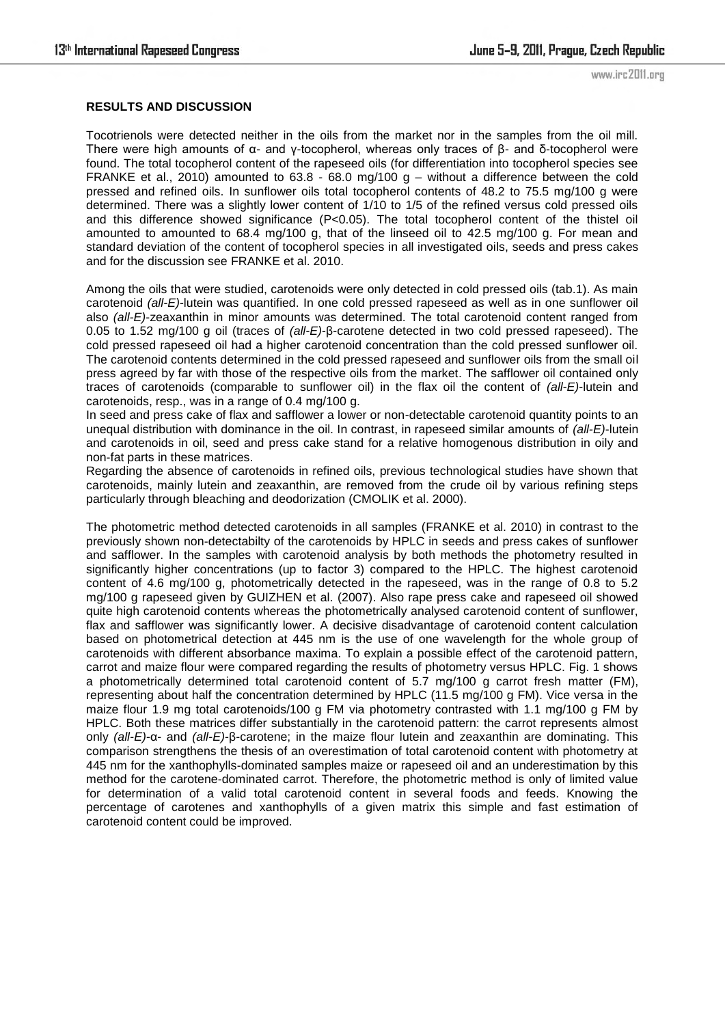## **RESULTS AND DISCUSSION**

Tocotrienols were detected neither in the oils from the market nor in the samples from the oil mill. There were high amounts of α- and γ-tocopherol, whereas only traces of β- and δ-tocopherol were found. The total tocopherol content of the rapeseed oils (for differentiation into tocopherol species see FRANKE et al., 2010) amounted to 63.8 - 68.0 mg/100 g – without a difference between the cold pressed and refined oils. In sunflower oils total tocopherol contents of 48.2 to 75.5 mg/100 g were determined. There was a slightly lower content of 1/10 to 1/5 of the refined versus cold pressed oils and this difference showed significance (P<0.05). The total tocopherol content of the thistel oil amounted to amounted to 68.4 mg/100 g, that of the linseed oil to 42.5 mg/100 g. For mean and standard deviation of the content of tocopherol species in all investigated oils, seeds and press cakes and for the discussion see FRANKE et al. 2010.

Among the oils that were studied, carotenoids were only detected in cold pressed oils (tab.1). As main carotenoid *(all-E)*-lutein was quantified. In one cold pressed rapeseed as well as in one sunflower oil also *(all-E)*-zeaxanthin in minor amounts was determined. The total carotenoid content ranged from 0.05 to 1.52 mg/100 g oil (traces of *(all-E)*-β-carotene detected in two cold pressed rapeseed). The cold pressed rapeseed oil had a higher carotenoid concentration than the cold pressed sunflower oil. The carotenoid contents determined in the cold pressed rapeseed and sunflower oils from the small oil press agreed by far with those of the respective oils from the market. The safflower oil contained only traces of carotenoids (comparable to sunflower oil) in the flax oil the content of *(all-E)*-lutein and carotenoids, resp., was in a range of 0.4 mg/100 g.

In seed and press cake of flax and safflower a lower or non-detectable carotenoid quantity points to an unequal distribution with dominance in the oil. In contrast, in rapeseed similar amounts of *(all-E)*-lutein and carotenoids in oil, seed and press cake stand for a relative homogenous distribution in oily and non-fat parts in these matrices.

Regarding the absence of carotenoids in refined oils, previous technological studies have shown that carotenoids, mainly lutein and zeaxanthin, are removed from the crude oil by various refining steps particularly through bleaching and deodorization (CMOLIK et al. 2000).

The photometric method detected carotenoids in all samples (FRANKE et al. 2010) in contrast to the previously shown non-detectabilty of the carotenoids by HPLC in seeds and press cakes of sunflower and safflower. In the samples with carotenoid analysis by both methods the photometry resulted in significantly higher concentrations (up to factor 3) compared to the HPLC. The highest carotenoid content of 4.6 mg/100 g, photometrically detected in the rapeseed, was in the range of 0.8 to 5.2 mg/100 g rapeseed given by GUIZHEN et al. (2007). Also rape press cake and rapeseed oil showed quite high carotenoid contents whereas the photometrically analysed carotenoid content of sunflower, flax and safflower was significantly lower. A decisive disadvantage of carotenoid content calculation based on photometrical detection at 445 nm is the use of one wavelength for the whole group of carotenoids with different absorbance maxima. To explain a possible effect of the carotenoid pattern, carrot and maize flour were compared regarding the results of photometry versus HPLC. Fig. 1 shows a photometrically determined total carotenoid content of 5.7 mg/100 g carrot fresh matter (FM), representing about half the concentration determined by HPLC (11.5 mg/100 g FM). Vice versa in the maize flour 1.9 mg total carotenoids/100 g FM via photometry contrasted with 1.1 mg/100 g FM by HPLC. Both these matrices differ substantially in the carotenoid pattern: the carrot represents almost only *(all-E)*-α- and *(all-E)*-β-carotene; in the maize flour lutein and zeaxanthin are dominating. This comparison strengthens the thesis of an overestimation of total carotenoid content with photometry at 445 nm for the xanthophylls-dominated samples maize or rapeseed oil and an underestimation by this method for the carotene-dominated carrot. Therefore, the photometric method is only of limited value for determination of a valid total carotenoid content in several foods and feeds. Knowing the percentage of carotenes and xanthophylls of a given matrix this simple and fast estimation of carotenoid content could be improved.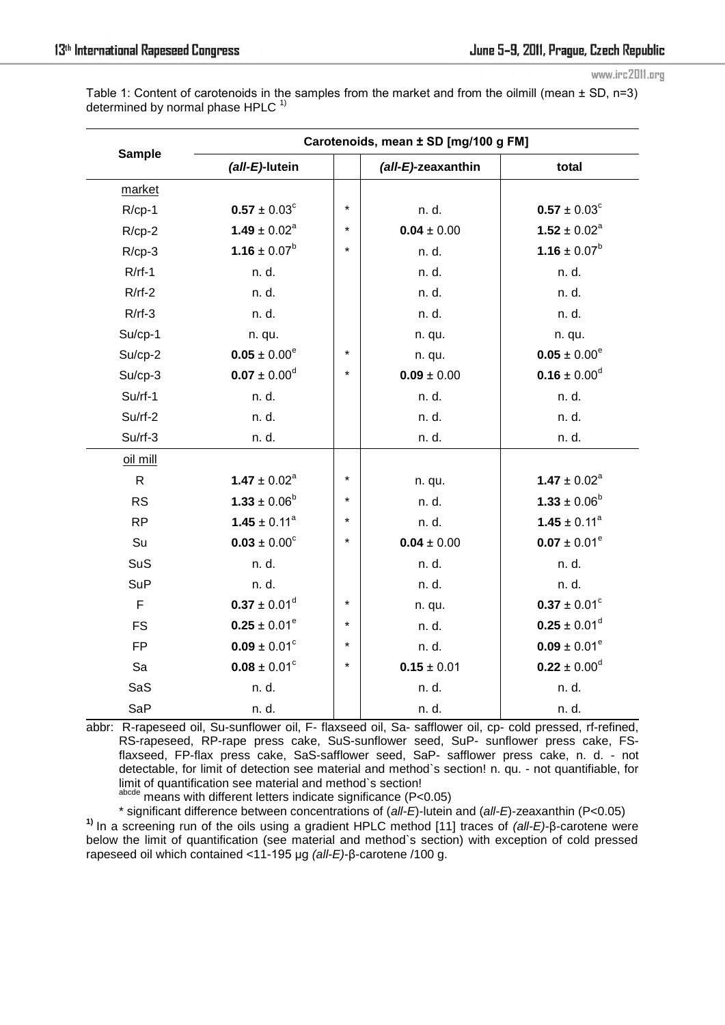Table 1: Content of carotenoids in the samples from the market and from the oilmill (mean  $\pm$  SD, n=3) determined by normal phase HPLC $<sup>1</sup>$ </sup>

| <b>Sample</b> | Carotenoids, mean ± SD [mg/100 g FM] |         |                    |                         |
|---------------|--------------------------------------|---------|--------------------|-------------------------|
|               | (all-E)-lutein                       |         | (all-E)-zeaxanthin | total                   |
| market        |                                      |         |                    |                         |
| $R/cp-1$      | $0.57 \pm 0.03^{\circ}$              | $\star$ | n. d.              | $0.57 \pm 0.03^{\circ}$ |
| $R$ /cp-2     | $1.49 \pm 0.02^a$                    | $\star$ | $0.04 \pm 0.00$    | $1.52 \pm 0.02^a$       |
| $R/cp-3$      | $1.16 \pm 0.07^b$                    | $\star$ | n. d.              | $1.16 \pm 0.07^b$       |
| $R/rf-1$      | n. d.                                |         | n. d.              | n. d.                   |
| $R/rf-2$      | n. d.                                |         | n. d.              | n. d.                   |
| $R/rf-3$      | n. d.                                |         | n. d.              | n. d.                   |
| Su/cp-1       | n. qu.                               |         | n. qu.             | n. qu.                  |
| Su/cp-2       | $0.05 \pm 0.00^e$                    | $\star$ | n. qu.             | $0.05 \pm 0.00^e$       |
| $Su$ /cp-3    | $0.07 \pm 0.00^d$                    | $\star$ | $0.09 \pm 0.00$    | $0.16 \pm 0.00^d$       |
| $Su/rf-1$     | n. d.                                |         | n. d.              | n. d.                   |
| $Su$ /rf-2    | n. d.                                |         | n. d.              | n. d.                   |
| $Su$ /rf-3    | n. d.                                |         | n. d.              | n. d.                   |
| oil mill      |                                      |         |                    |                         |
| $\mathsf{R}$  | $1.47 \pm 0.02^a$                    | $\star$ | n. qu.             | $1.47 \pm 0.02^a$       |
| <b>RS</b>     | $1.33 \pm 0.06^b$                    | $\star$ | n. d.              | $1.33 \pm 0.06^b$       |
| <b>RP</b>     | $1.45 \pm 0.11^a$                    | $\star$ | n. d.              | $1.45 \pm 0.11^a$       |
| Su            | $0.03 \pm 0.00^{\circ}$              | $\star$ | $0.04 \pm 0.00$    | $0.07 \pm 0.01^e$       |
| SuS           | n. d.                                |         | n. d.              | n. d.                   |
| <b>SuP</b>    | n. d.                                |         | n. d.              | n. d.                   |
| F             | $0.37 \pm 0.01^d$                    | $\star$ | n. qu.             | $0.37 \pm 0.01^{\circ}$ |
| <b>FS</b>     | $0.25 \pm 0.01^e$                    | $\star$ | n. d.              | $0.25 \pm 0.01^d$       |
| <b>FP</b>     | $0.09 \pm 0.01^{\circ}$              | $\star$ | n. d.              | $0.09 \pm 0.01^e$       |
| Sa            | $0.08 \pm 0.01^{\circ}$              | $\star$ | $0.15 \pm 0.01$    | $0.22 \pm 0.00^d$       |
| SaS           | n. d.                                |         | n. d.              | n. d.                   |
| SaP           | n. d.                                |         | n. d.              | n. d.                   |

abbr: R-rapeseed oil, Su-sunflower oil, F- flaxseed oil, Sa- safflower oil, cp- cold pressed, rf-refined, RS-rapeseed, RP-rape press cake, SuS-sunflower seed, SuP- sunflower press cake, FSflaxseed, FP-flax press cake, SaS-safflower seed, SaP- safflower press cake, n. d. - not detectable, for limit of detection see material and method`s section! n. qu. - not quantifiable, for limit of quantification see material and method`s section!

abcde means with different letters indicate significance (P<0.05)

\* significant difference between concentrations of (*all-E*)-lutein and (*all-E*)-zeaxanthin (P<0.05) **1)** In a screening run of the oils using a gradient HPLC method [11] traces of *(all-E)*-β-carotene were below the limit of quantification (see material and method`s section) with exception of cold pressed rapeseed oil which contained <11-195 µg *(all-E)*-β-carotene /100 g.